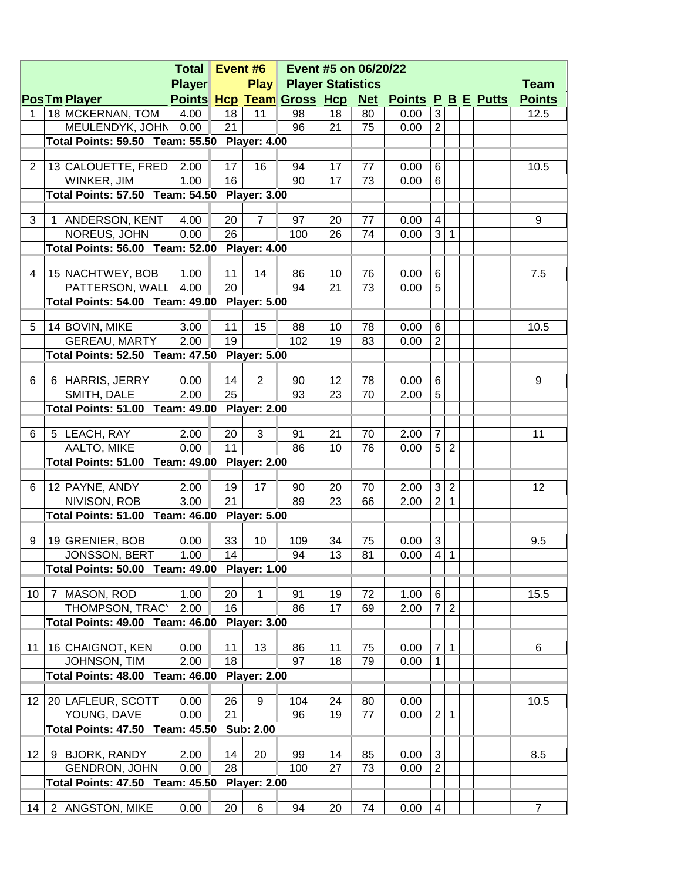|                |   |                                                               | Event #6 $\parallel$<br>Event #5 on 06/20/22<br><b>Total</b> |          |                     |                               |          |          |                                                  |                              |                |  |                |
|----------------|---|---------------------------------------------------------------|--------------------------------------------------------------|----------|---------------------|-------------------------------|----------|----------|--------------------------------------------------|------------------------------|----------------|--|----------------|
|                |   |                                                               | <b>Player</b>                                                |          |                     | <b>Play Player Statistics</b> |          |          |                                                  |                              |                |  | <b>Team</b>    |
|                |   | <b>PosTm Player</b>                                           |                                                              |          |                     |                               |          |          | Points Hcp Team Gross Hcp Net Points P B E Putts |                              |                |  | <b>Points</b>  |
| 1              |   | 18 MCKERNAN, TOM                                              | 4.00                                                         | 18       | 11                  | 98                            | 18       | 80       | 0.00                                             | 3                            |                |  | 12.5           |
|                |   | MEULENDYK, JOHN                                               | 0.00                                                         | 21       |                     | 96                            | 21       | 75       | 0.00                                             | $\overline{2}$               |                |  |                |
|                |   | Total Points: 59.50 Team: 55.50 Player: 4.00                  |                                                              |          |                     |                               |          |          |                                                  |                              |                |  |                |
|                |   |                                                               |                                                              |          |                     |                               |          |          |                                                  |                              |                |  |                |
| $\overline{2}$ |   | 13 CALOUETTE, FRED                                            | 2.00                                                         | 17       | 16                  | 94                            | 17       | 77       | 0.00                                             | $\,6$                        |                |  | 10.5           |
|                |   | WINKER, JIM                                                   | 1.00                                                         | 16       |                     | 90                            | 17       | 73       | 0.00                                             | 6                            |                |  |                |
|                |   | Total Points: 57.50 Team: 54.50 Player: 3.00                  |                                                              |          |                     |                               |          |          |                                                  |                              |                |  |                |
| 3              |   | 1 ANDERSON, KENT                                              | 4.00                                                         | 20       | $\overline{7}$      | 97                            | 20       | 77       | 0.00                                             | $\overline{4}$               |                |  | 9              |
|                |   | NOREUS, JOHN                                                  | 0.00                                                         | 26       |                     | 100                           | 26       | 74       | 0.00                                             | 3                            | $\mathbf 1$    |  |                |
|                |   | Total Points: 56.00 Team: 52.00 Player: 4.00                  |                                                              |          |                     |                               |          |          |                                                  |                              |                |  |                |
|                |   |                                                               |                                                              |          |                     |                               |          |          |                                                  |                              |                |  |                |
| 4              |   | 15 NACHTWEY, BOB                                              | 1.00                                                         | 11       | 14                  | 86                            | 10       | 76       | 0.00                                             | $\,6$                        |                |  | 7.5            |
|                |   | PATTERSON, WALL                                               | 4.00                                                         | 20       |                     | 94                            | 21       | 73       | 0.00                                             | 5                            |                |  |                |
|                |   | Total Points: 54.00 Team: 49.00 Player: 5.00                  |                                                              |          |                     |                               |          |          |                                                  |                              |                |  |                |
|                |   |                                                               |                                                              |          |                     |                               |          |          |                                                  |                              |                |  |                |
| 5              |   | 14 BOVIN, MIKE                                                | 3.00                                                         | 11       | 15                  | 88                            | 10       | 78       | 0.00                                             | $\,6$                        |                |  | 10.5           |
|                |   | GEREAU, MARTY                                                 | 2.00                                                         | 19       |                     | 102                           | 19       | 83       | 0.00                                             | $\overline{2}$               |                |  |                |
|                |   | Total Points: 52.50 Team: 47.50 Player: 5.00                  |                                                              |          |                     |                               |          |          |                                                  |                              |                |  |                |
| 6              |   | 6 HARRIS, JERRY                                               | 0.00                                                         | 14       | $\overline{2}$      | 90                            | 12       | 78       | 0.00                                             | $\,6$                        |                |  | 9              |
|                |   | SMITH, DALE                                                   | 2.00                                                         | 25       |                     | 93                            | 23       | 70       | 2.00                                             | 5                            |                |  |                |
|                |   | Total Points: 51.00 Team: 49.00 Player: 2.00                  |                                                              |          |                     |                               |          |          |                                                  |                              |                |  |                |
|                |   |                                                               |                                                              |          |                     |                               |          |          |                                                  |                              |                |  |                |
| 6              |   | 5 LEACH, RAY                                                  | 2.00                                                         | 20       | 3                   | 91                            | 21       | 70       | 2.00                                             | $\overline{7}$               |                |  | 11             |
|                |   | AALTO, MIKE                                                   | 0.00                                                         | 11       |                     | 86                            | 10       | 76       | 0.00                                             | 5                            | $\sqrt{2}$     |  |                |
|                |   | Total Points: 51.00 Team: 49.00 Player: 2.00                  |                                                              |          |                     |                               |          |          |                                                  |                              |                |  |                |
|                |   |                                                               |                                                              |          |                     |                               |          |          |                                                  |                              |                |  |                |
| 6              |   | 12 PAYNE, ANDY                                                | 2.00                                                         | 19       | 17                  | 90                            | 20       | 70       | 2.00                                             | 3                            | $\sqrt{2}$     |  | 12             |
|                |   | NIVISON, ROB                                                  | 3.00                                                         | 21       |                     | 89                            | 23       | 66       | 2.00                                             | $\overline{2}$               | $\mathbf{1}$   |  |                |
|                |   | Total Points: 51.00 Team: 46.00 Player: 5.00                  |                                                              |          |                     |                               |          |          |                                                  |                              |                |  |                |
|                |   |                                                               |                                                              |          |                     |                               |          |          |                                                  |                              |                |  |                |
| 9              |   | 19 GRENIER, BOB                                               | 0.00                                                         | 33<br>14 | 10                  | 109<br>94                     | 34<br>13 | 75<br>81 | 0.00                                             | $\sqrt{3}$<br>$\overline{4}$ | $\mathbf{1}$   |  | 9.5            |
|                |   | JONSSON, BERT<br>Total Points: 50.00 Team: 49.00 Player: 1.00 | 1.00                                                         |          |                     |                               |          |          | 0.00                                             |                              |                |  |                |
|                |   |                                                               |                                                              |          |                     |                               |          |          |                                                  |                              |                |  |                |
| 10             | 7 | MASON, ROD                                                    | 1.00                                                         | 20       | 1                   | 91                            | 19       | 72       | 1.00                                             | $\,6$                        |                |  | 15.5           |
|                |   | THOMPSON, TRAC'                                               | 2.00                                                         | 16       |                     | 86                            | 17       | 69       | 2.00                                             | $\overline{7}$               | $\overline{2}$ |  |                |
|                |   | <b>Total Points: 49.00 Team: 46.00</b>                        |                                                              |          | <b>Player: 3.00</b> |                               |          |          |                                                  |                              |                |  |                |
|                |   |                                                               |                                                              |          |                     |                               |          |          |                                                  |                              |                |  |                |
| 11             |   | 16 CHAIGNOT, KEN                                              | 0.00                                                         | 11       | 13                  | 86                            | 11       | 75       | 0.00                                             | $\overline{7}$               | 1              |  | 6              |
|                |   | JOHNSON, TIM                                                  | 2.00                                                         | 18       |                     | 97                            | 18       | 79       | 0.00                                             | 1                            |                |  |                |
|                |   | <b>Total Points: 48.00</b>                                    | Team: 46.00                                                  |          | <b>Player: 2.00</b> |                               |          |          |                                                  |                              |                |  |                |
|                |   |                                                               |                                                              |          |                     |                               |          |          |                                                  |                              |                |  |                |
| 12             |   | 20 LAFLEUR, SCOTT                                             | 0.00                                                         | 26       | 9                   | 104                           | 24       | 80       | 0.00                                             |                              |                |  | 10.5           |
|                |   | YOUNG, DAVE                                                   | 0.00                                                         | 21       |                     | 96                            | 19       | 77       | 0.00                                             | $\overline{2}$               | 1              |  |                |
|                |   | <b>Total Points: 47.50</b>                                    | Team: 45.50                                                  |          | <b>Sub: 2.00</b>    |                               |          |          |                                                  |                              |                |  |                |
| 12             | 9 | <b>BJORK, RANDY</b>                                           | 2.00                                                         | 14       | 20                  | 99                            | 14       | 85       | 0.00                                             | 3                            |                |  | 8.5            |
|                |   | <b>GENDRON, JOHN</b>                                          | 0.00                                                         | 28       |                     | 100                           | 27       | 73       | 0.00                                             | $\overline{2}$               |                |  |                |
|                |   | Total Points: 47.50 Team: 45.50                               |                                                              |          | <b>Player: 2.00</b> |                               |          |          |                                                  |                              |                |  |                |
|                |   |                                                               |                                                              |          |                     |                               |          |          |                                                  |                              |                |  |                |
| 14             |   | 2 ANGSTON, MIKE                                               | 0.00                                                         | 20       | $\,6$               | 94                            | 20       | 74       | 0.00                                             | 4                            |                |  | $\overline{7}$ |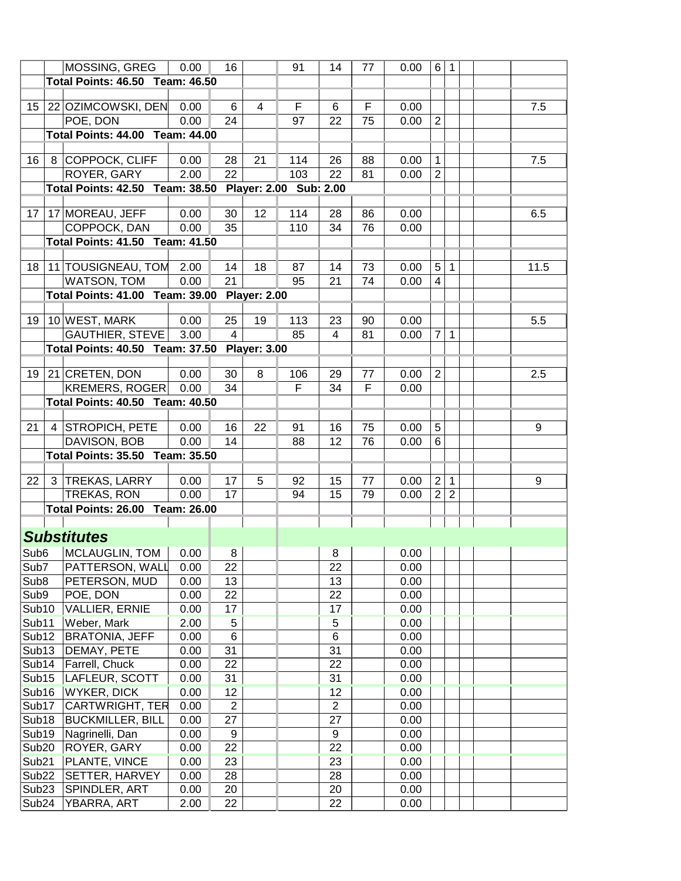|                   |   | MOSSING, GREG                                          | 0.00         | 16                   |    | 91  | 14             | 77 | 0.00         | 6              | 1              |      |
|-------------------|---|--------------------------------------------------------|--------------|----------------------|----|-----|----------------|----|--------------|----------------|----------------|------|
|                   |   | Total Points: 46.50 Team: 46.50                        |              |                      |    |     |                |    |              |                |                |      |
|                   |   |                                                        |              |                      |    |     |                |    |              |                |                |      |
| 15                |   | 22 OZIMCOWSKI, DEN                                     | 0.00         | 6                    | 4  | F   | 6              | F  | 0.00         |                |                | 7.5  |
|                   |   | POE, DON                                               | 0.00         | 24                   |    | 97  | 22             | 75 | 0.00         | $\overline{2}$ |                |      |
|                   |   | <b>Total Points: 44.00 Team: 44.00</b>                 |              |                      |    |     |                |    |              |                |                |      |
|                   |   |                                                        |              |                      |    |     |                |    |              |                |                |      |
| 16                | 8 | COPPOCK, CLIFF                                         | 0.00         | 28                   | 21 | 114 | 26             | 88 | 0.00         | 1              |                | 7.5  |
|                   |   | ROYER, GARY                                            | 2.00         | 22                   |    | 103 | 22             | 81 | 0.00         | $\overline{2}$ |                |      |
|                   |   | Total Points: 42.50 Team: 38.50 Player: 2.00 Sub: 2.00 |              |                      |    |     |                |    |              |                |                |      |
|                   |   |                                                        |              |                      |    |     |                |    |              |                |                |      |
| 17                |   | 17 MOREAU, JEFF                                        | 0.00         | 30                   | 12 | 114 | 28             | 86 | 0.00         |                |                | 6.5  |
|                   |   | COPPOCK, DAN                                           | 0.00         | 35                   |    | 110 | 34             | 76 | 0.00         |                |                |      |
|                   |   | Total Points: 41.50 Team: 41.50                        |              |                      |    |     |                |    |              |                |                |      |
|                   |   |                                                        |              |                      |    |     |                |    |              |                |                |      |
| 18                |   | 11 TOUSIGNEAU, TOM                                     | 2.00         | 14                   | 18 | 87  | 14             | 73 | 0.00         | 5              | 1              | 11.5 |
|                   |   | WATSON, TOM                                            | 0.00         | 21                   |    | 95  | 21             | 74 | 0.00         | 4              |                |      |
|                   |   | Total Points: 41.00 Team: 39.00 Player: 2.00           |              |                      |    |     |                |    |              |                |                |      |
|                   |   |                                                        |              |                      |    |     |                |    |              |                |                |      |
| 19                |   | 10 WEST, MARK                                          | 0.00         | 25                   | 19 | 113 | 23             | 90 | 0.00         |                |                | 5.5  |
|                   |   | <b>GAUTHIER, STEVE</b>                                 | 3.00         | $\overline{4}$       |    | 85  | $\overline{4}$ | 81 | 0.00         | $\overline{7}$ | 1              |      |
|                   |   | Total Points: 40.50 Team: 37.50 Player: 3.00           |              |                      |    |     |                |    |              |                |                |      |
| 19                |   | 21 CRETEN, DON                                         | 0.00         | 30                   | 8  | 106 | 29             | 77 | 0.00         | $\overline{2}$ |                | 2.5  |
|                   |   | <b>KREMERS, ROGER</b>                                  | 0.00         | 34                   |    | F   | 34             | F  | 0.00         |                |                |      |
|                   |   |                                                        |              |                      |    |     |                |    |              |                |                |      |
|                   |   | <b>Total Points: 40.50 Team: 40.50</b>                 |              |                      |    |     |                |    |              |                |                |      |
| 21                | 4 | <b>STROPICH, PETE</b>                                  | 0.00         | 16                   | 22 | 91  | 16             | 75 | 0.00         | 5              |                | 9    |
|                   |   | DAVISON, BOB                                           | 0.00         | 14                   |    | 88  | 12             | 76 | 0.00         | 6              |                |      |
|                   |   | Total Points: 35.50 Team: 35.50                        |              |                      |    |     |                |    |              |                |                |      |
|                   |   |                                                        |              |                      |    |     |                |    |              |                |                |      |
| 22                | 3 | TREKAS, LARRY                                          | 0.00         | 17                   | 5  | 92  | 15             | 77 | 0.00         | $\overline{2}$ | 1              | 9    |
|                   |   | TREKAS, RON                                            | 0.00         | 17                   |    | 94  | 15             | 79 | 0.00         | $\overline{2}$ | $\overline{2}$ |      |
|                   |   | <b>Total Points: 26.00 Team: 26.00</b>                 |              |                      |    |     |                |    |              |                |                |      |
|                   |   |                                                        |              |                      |    |     |                |    |              |                |                |      |
|                   |   | <b>Substitutes</b>                                     |              |                      |    |     |                |    |              |                |                |      |
| Sub <sub>6</sub>  |   | MCLAUGLIN, TOM                                         | 0.00         | 8                    |    |     | 8              |    | 0.00         |                |                |      |
| Sub7              |   | PATTERSON, WALL                                        | 0.00         | 22                   |    |     | 22             |    | 0.00         |                |                |      |
| Sub <sub>8</sub>  |   | PETERSON, MUD                                          | 0.00         | 13                   |    |     | 13             |    | 0.00         |                |                |      |
| Sub9              |   | POE, DON                                               | 0.00         | 22                   |    |     | 22             |    | 0.00         |                |                |      |
| Sub10             |   | <b>VALLIER, ERNIE</b>                                  | 0.00         | 17                   |    |     | 17             |    | 0.00         |                |                |      |
| Sub11             |   | Weber, Mark                                            | 2.00         | $\,$ 5 $\,$          |    |     | 5              |    | 0.00         |                |                |      |
| Sub <sub>12</sub> |   | <b>BRATONIA, JEFF</b>                                  | 0.00         | $\,6$                |    |     | 6              |    | 0.00         |                |                |      |
| Sub <sub>13</sub> |   | DEMAY, PETE                                            | 0.00         | 31                   |    |     | 31             |    | 0.00         |                |                |      |
| Sub <sub>14</sub> |   | Farrell, Chuck                                         | 0.00         | 22                   |    |     | 22             |    | 0.00         |                |                |      |
| Sub <sub>15</sub> |   | LAFLEUR, SCOTT                                         | 0.00         | 31                   |    |     | 31             |    | 0.00         |                |                |      |
|                   |   |                                                        |              |                      |    |     | 12             |    |              |                |                |      |
| Sub <sub>16</sub> |   | <b>WYKER, DICK</b><br>CARTWRIGHT, TER                  | 0.00<br>0.00 | 12<br>$\overline{2}$ |    |     | $\overline{2}$ |    | 0.00         |                |                |      |
| Sub <sub>17</sub> |   | <b>BUCKMILLER, BILL</b>                                | 0.00         | 27                   |    |     | 27             |    | 0.00<br>0.00 |                |                |      |
| Sub <sub>18</sub> |   |                                                        |              |                      |    |     |                |    |              |                |                |      |
| Sub <sub>19</sub> |   | Nagrinelli, Dan                                        | 0.00         | 9                    |    |     | 9              |    | 0.00         |                |                |      |
| Sub <sub>20</sub> |   | ROYER, GARY                                            | 0.00         | 22                   |    |     | 22             |    | 0.00         |                |                |      |
| Sub <sub>21</sub> |   | PLANTE, VINCE                                          | 0.00         | 23                   |    |     | 23             |    | 0.00         |                |                |      |
| Sub <sub>22</sub> |   | SETTER, HARVEY                                         | 0.00         | 28                   |    |     | 28             |    | 0.00         |                |                |      |
| Sub <sub>23</sub> |   | SPINDLER, ART                                          | 0.00         | 20                   |    |     | 20             |    | 0.00         |                |                |      |
| Sub <sub>24</sub> |   | YBARRA, ART                                            | 2.00         | 22                   |    |     | 22             |    | 0.00         |                |                |      |